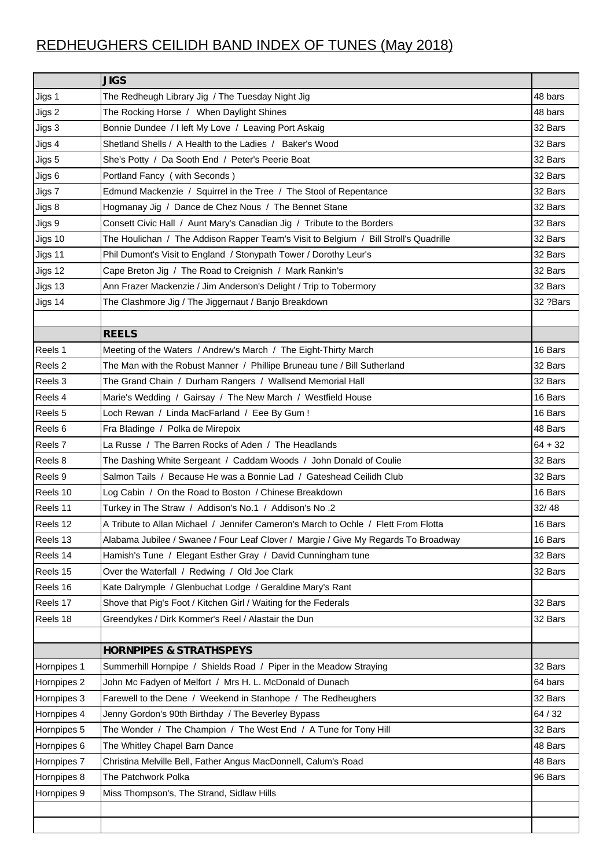## REDHEUGHERS CEILIDH BAND INDEX OF TUNES (May 2018)

|             | <b>JIGS</b>                                                                          |           |
|-------------|--------------------------------------------------------------------------------------|-----------|
| Jigs 1      | The Redheugh Library Jig / The Tuesday Night Jig                                     | 48 bars   |
| Jigs 2      | The Rocking Horse / When Daylight Shines                                             | 48 bars   |
| Jigs 3      | Bonnie Dundee / I left My Love / Leaving Port Askaig                                 | 32 Bars   |
| Jigs 4      | Shetland Shells / A Health to the Ladies / Baker's Wood                              | 32 Bars   |
| Jigs 5      | She's Potty / Da Sooth End / Peter's Peerie Boat                                     | 32 Bars   |
| Jigs 6      | Portland Fancy (with Seconds)                                                        | 32 Bars   |
| Jigs 7      | Edmund Mackenzie / Squirrel in the Tree / The Stool of Repentance                    | 32 Bars   |
| Jigs 8      | Hogmanay Jig / Dance de Chez Nous / The Bennet Stane                                 | 32 Bars   |
| Jigs 9      | Consett Civic Hall / Aunt Mary's Canadian Jig / Tribute to the Borders               | 32 Bars   |
| Jigs 10     | The Houlichan / The Addison Rapper Team's Visit to Belgium / Bill Stroll's Quadrille | 32 Bars   |
| Jigs 11     | Phil Dumont's Visit to England / Stonypath Tower / Dorothy Leur's                    | 32 Bars   |
| Jigs 12     | Cape Breton Jig / The Road to Creignish / Mark Rankin's                              | 32 Bars   |
| Jigs 13     | Ann Frazer Mackenzie / Jim Anderson's Delight / Trip to Tobermory                    | 32 Bars   |
| Jigs 14     | The Clashmore Jig / The Jiggernaut / Banjo Breakdown                                 | 32 ?Bars  |
|             |                                                                                      |           |
|             | <b>REELS</b>                                                                         |           |
| Reels 1     | Meeting of the Waters / Andrew's March / The Eight-Thirty March                      | 16 Bars   |
| Reels 2     | The Man with the Robust Manner / Phillipe Bruneau tune / Bill Sutherland             | 32 Bars   |
| Reels 3     | The Grand Chain / Durham Rangers / Wallsend Memorial Hall                            | 32 Bars   |
| Reels 4     | Marie's Wedding / Gairsay / The New March / Westfield House                          | 16 Bars   |
| Reels 5     | Loch Rewan / Linda MacFarland / Eee By Gum !                                         | 16 Bars   |
| Reels 6     | Fra Bladinge / Polka de Mirepoix                                                     | 48 Bars   |
| Reels 7     | La Russe / The Barren Rocks of Aden / The Headlands                                  | $64 + 32$ |
| Reels 8     | The Dashing White Sergeant / Caddam Woods / John Donald of Coulie                    | 32 Bars   |
| Reels 9     | Salmon Tails / Because He was a Bonnie Lad / Gateshead Ceilidh Club                  | 32 Bars   |
| Reels 10    | Log Cabin / On the Road to Boston / Chinese Breakdown                                | 16 Bars   |
| Reels 11    | Turkey in The Straw / Addison's No.1 / Addison's No.2                                | 32/48     |
| Reels 12    | A Tribute to Allan Michael / Jennifer Cameron's March to Ochle / Flett From Flotta   | 16 Bars   |
| Reels 13    | Alabama Jubilee / Swanee / Four Leaf Clover / Margie / Give My Regards To Broadway   | 16 Bars   |
| Reels 14    | Hamish's Tune / Elegant Esther Gray / David Cunningham tune                          | 32 Bars   |
| Reels 15    | Over the Waterfall / Redwing / Old Joe Clark                                         | 32 Bars   |
| Reels 16    | Kate Dalrymple / Glenbuchat Lodge / Geraldine Mary's Rant                            |           |
| Reels 17    | Shove that Pig's Foot / Kitchen Girl / Waiting for the Federals                      | 32 Bars   |
| Reels 18    | Greendykes / Dirk Kommer's Reel / Alastair the Dun                                   | 32 Bars   |
|             |                                                                                      |           |
|             | <b>HORNPIPES &amp; STRATHSPEYS</b>                                                   |           |
| Hornpipes 1 | Summerhill Hornpipe / Shields Road / Piper in the Meadow Straying                    | 32 Bars   |
| Hornpipes 2 | John Mc Fadyen of Melfort / Mrs H. L. McDonald of Dunach                             | 64 bars   |
| Hornpipes 3 | Farewell to the Dene / Weekend in Stanhope / The Redheughers                         | 32 Bars   |
| Hornpipes 4 | Jenny Gordon's 90th Birthday / The Beverley Bypass                                   | 64/32     |
| Hornpipes 5 | The Wonder / The Champion / The West End / A Tune for Tony Hill                      | 32 Bars   |
| Hornpipes 6 | The Whitley Chapel Barn Dance                                                        | 48 Bars   |
| Hornpipes 7 | Christina Melville Bell, Father Angus MacDonnell, Calum's Road                       | 48 Bars   |
| Hornpipes 8 | The Patchwork Polka                                                                  | 96 Bars   |
| Hornpipes 9 | Miss Thompson's, The Strand, Sidlaw Hills                                            |           |
|             |                                                                                      |           |
|             |                                                                                      |           |
|             |                                                                                      |           |